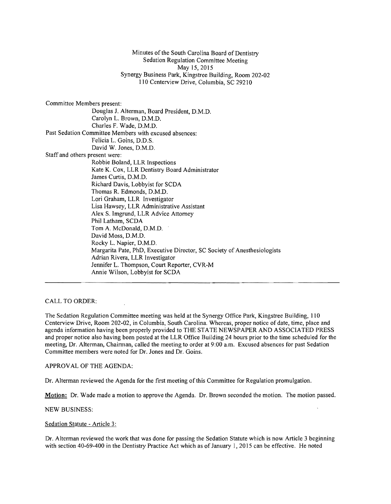Minutes of the South Carolina Board of Dentistry Sedation Regulation Committee Meeting May 15,2015 Synergy Business Park, Kingstree Building, Room 202·02 110 Centerview Drive, Columbia, SC 29210

Committee Members present: Douglas 1. Alterman, Board President, D.M.D. Carolyn L. Brown, D.M.D. Charles F. Wade, D.M.D. Past Sedation Committee Members with excused absences: Felicia L. Goins, D.D.S. David W. Jones, D.M.D. Staff and others present were: Robbie Boland, LLR Inspections Kate K. Cox, LLR Dentistry Board Administrator James Curtis, D.M.D. Richard Davis, Lobbyist for SCDA Thomas R. Edmonds, D.M.D. Lori Graham, LLR Investigator Lisa Hawsey, LLR Administrative Assistant Alex S. Imgrund, LLR Advice Attorney Phil Latham, SCDA Tom A. McDonald, D.M.D. David Moss, D.M.D. Rocky L. Napier, D.M.D. Margarita Pate, PhD, Executive Director, SC Society of Anesthesiologists Adrian Rivera, LLR Investigator Jennifer L. Thompson, Court Reporter, CVR-M Annie Wilson, Lobbyist for SCDA

## CALL TO ORDER:

The Sedation Regulation Committee meeting was held at the Synergy Office Park, Kingstree Building, 110 Centerview Drive, Room 202-02, in Columbia, South Carolina. Whereas, proper notice of date, time, place and agenda information having been properly provided to THE STATE NEWSPAPER AND ASSOCIATED PRESS and proper notice also having been posted at the LLR Office Building 24 hours prior to the time scheduled for the meeting, Dr. Alterman, Chairman, called the meeting to order at 9:00 a.m. Excused absences for past Sedation Committee members were noted for Dr. Jones and Dr. Goins.

APPROVAL OF THE AGENDA:

Dr. Alterman reviewed the Agenda for the first meeting of this Committee for Regulation promulgation.

Motion: Dr. Wade made a motion to approve the Agenda. Dr. Brown seconded the motion. The motion passed.

NEW BUSINESS:

Sedation Statute - Article 3:

Dr. Alterman reviewed the work that was done for passing the Sedation Statute which is now Article 3 beginning with section 40-69-400 in the Dentistry Practice Act which as of January 1, 2015 can be effective. He noted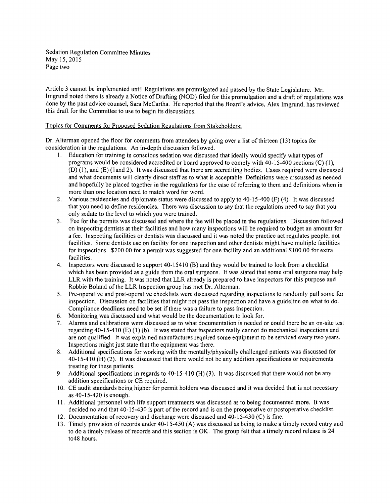Sedation Regulation Committee Minutes May 15,2015 Page two

Article 3 cannot be implemented until Regulations are promulgated and passed by the State Legislature. Mr. Imgrund noted there is already a Notice of Drafting (NOD) filed for this promulgation and a draft of regulations was done by the past advice counsel, Sara McCartha. He reported that the Board's advice, Alex Imgrund, has reviewed this draft for the Committee to use to begin its discussions.

## Topics for Comments for Proposed Sedation Regulations from Stakeholders:

Dr. Alterman opened the floor for comments from attendees by going over a list of thirteen (13) topics for consideration in the regulations. An in-depth discussion followed.

- 1. Education for training in conscious sedation was discussed that ideally would specify what types of programs would be considered accredited or board approved to comply with 40-15-400 sections (C) (l), (D) (I), and (E) (1 and 2). It was discussed that there are accrediting bodies. Cases required were discussed and what documents will clearly direct staff as to what is acceptable. Definitions were discussed as needed and hopefully be placed together in the regulations for the ease of referring to them and definitions when in more than one location need to match word for word.
- 2. Various residencies and diplomate status were discussed to apply to 40-15-400 (F) (4). It was discussed that you need to define residencies. There was discussion to say that the regulations need to say that you only sedate to the level to which you were trained.
- 3. Fee for the permits was discussed and where the fee will be placed in the regulations. Discussion followed on inspecting dentists at their facilities and how many inspections will be required to budget an amount for a fee. Inspecting facilities or dentists was discussed and it was noted the practice act regulates people, not facilities. Some dentists use on facility for one inspection and other dentists might have multiple facilities for inspections. \$200.00 for a permit was suggested for one facility and an additional \$100.00 for extra facilities.
- 4. Inspectors were discussed to support 40-15410 (B) and they would be trained to look from a checklist which has been provided as a guide from the oral surgeons. It was stated that some oral surgeons may help LLR with the training. It was noted that LLR already is prepared to have inspectors for this purpose and Robbie Boland of the LLR Inspection group has met Dr. Alterman.
- 5. Pre-operative and post-operative checklists were discussed regarding inspections to randomly pull some for inspection. Discussion on facilities that might not pass the inspection and have a guideline on what to do. Compliance deadlines need to be set if there was a failure to pass inspection.
- 6. Monitoring was discussed and what would be the documentation to look for.
- 7. Alarms and calibrations were discussed as to what documentation is needed or could there be an on-site test regarding 40-15-410 (E) (1) (b). It was stated that inspectors really cannot do mechanical inspections and are not qualified. It was explained manufactures required some equipment to be serviced every two years. Inspections might just state that the equipment was there.
- 8. Additional specifications for working with the mentally/physically challenged patients was discussed for 40-15-410 (H) (2). It was discussed that there would not be any addition specifications or requirements treating for these patients.
- 9. Additional specifications in regards to 40-15-410 (H) (3). It was discussed that there would not be any addition specifications or CE required.
- 10. CE audit standards being higher for permit holders was discussed and it was decided that is not necessary as 40-15-420 is enough.
- 11. Additional personnel with life support treatments was discussed as to being documented more. It was decided no and that 40-15-430 is part of the record and is on the preoperative or postoperative checklist.
- 12. Documentation of recovery and discharge were discussed and 40-15-430 (C) is fine.
- 13. Timely provision ofrecords under 40-15-450 (A) was discussed as being to make a timely record entry and to do a timely release of records and this section is OK. The group felt that a timely record release is 24 t048 hours.